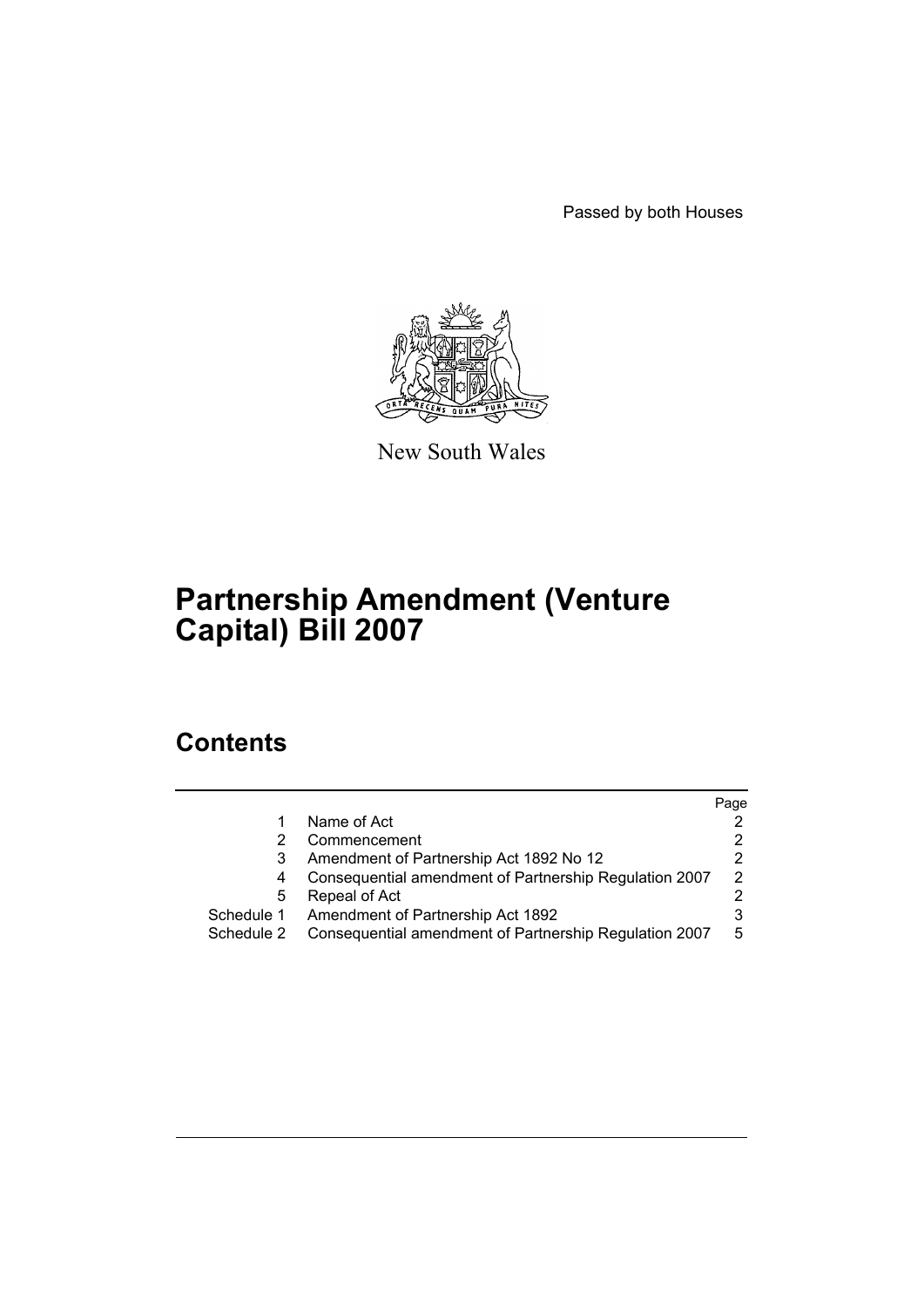Passed by both Houses



New South Wales

# **Partnership Amendment (Venture Capital) Bill 2007**

## **Contents**

|            |                                                        | Page |
|------------|--------------------------------------------------------|------|
|            | Name of Act                                            | 2    |
|            | Commencement                                           | 2    |
|            | Amendment of Partnership Act 1892 No 12                | 2    |
| 4          | Consequential amendment of Partnership Regulation 2007 | 2    |
| 5          | Repeal of Act                                          | 2    |
| Schedule 1 | Amendment of Partnership Act 1892                      | 3    |
| Schedule 2 | Consequential amendment of Partnership Regulation 2007 | 5    |
|            |                                                        |      |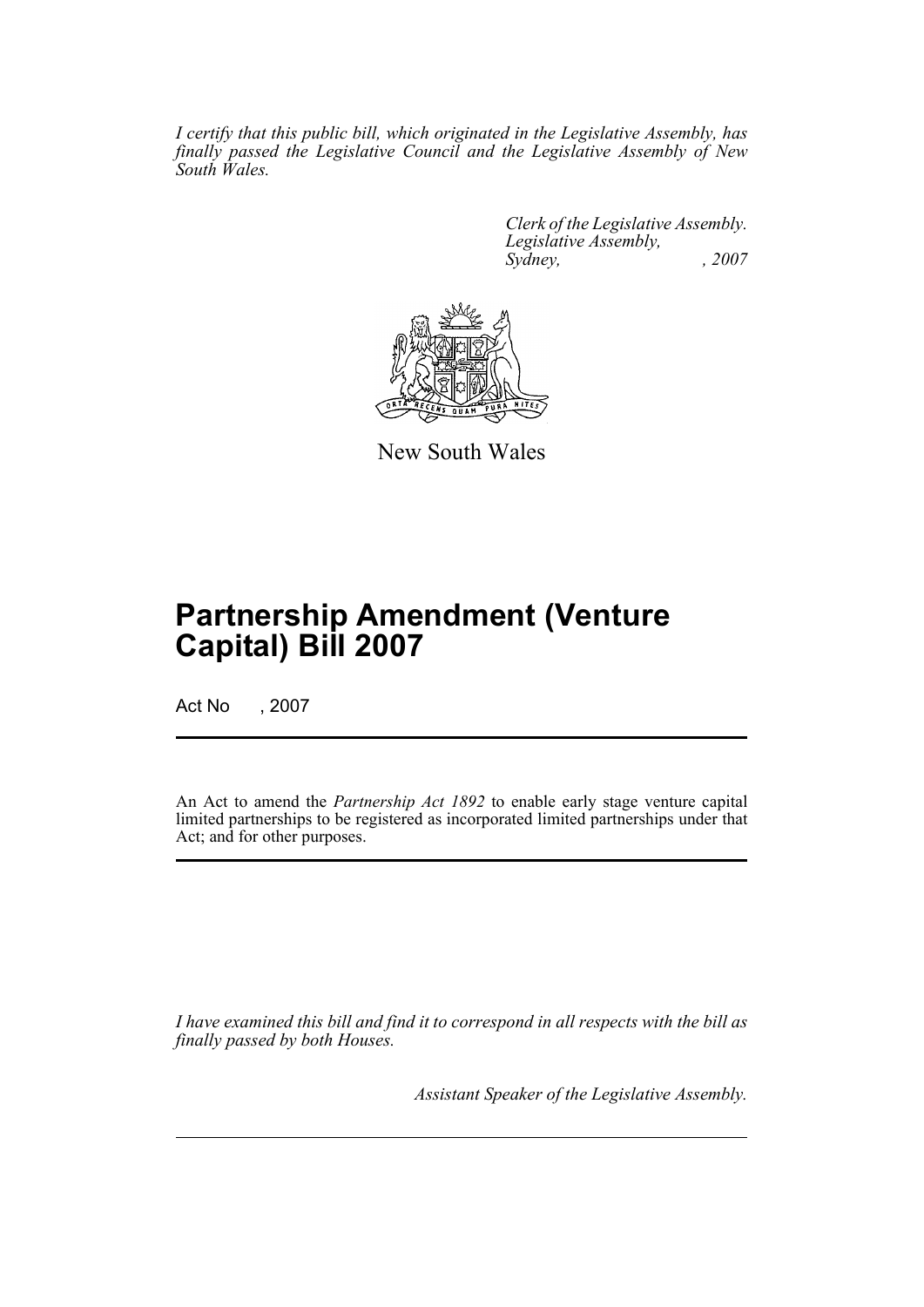*I certify that this public bill, which originated in the Legislative Assembly, has finally passed the Legislative Council and the Legislative Assembly of New South Wales.*

> *Clerk of the Legislative Assembly. Legislative Assembly, Sydney, , 2007*



New South Wales

## **Partnership Amendment (Venture Capital) Bill 2007**

Act No , 2007

An Act to amend the *Partnership Act 1892* to enable early stage venture capital limited partnerships to be registered as incorporated limited partnerships under that Act; and for other purposes.

*I have examined this bill and find it to correspond in all respects with the bill as finally passed by both Houses.*

*Assistant Speaker of the Legislative Assembly.*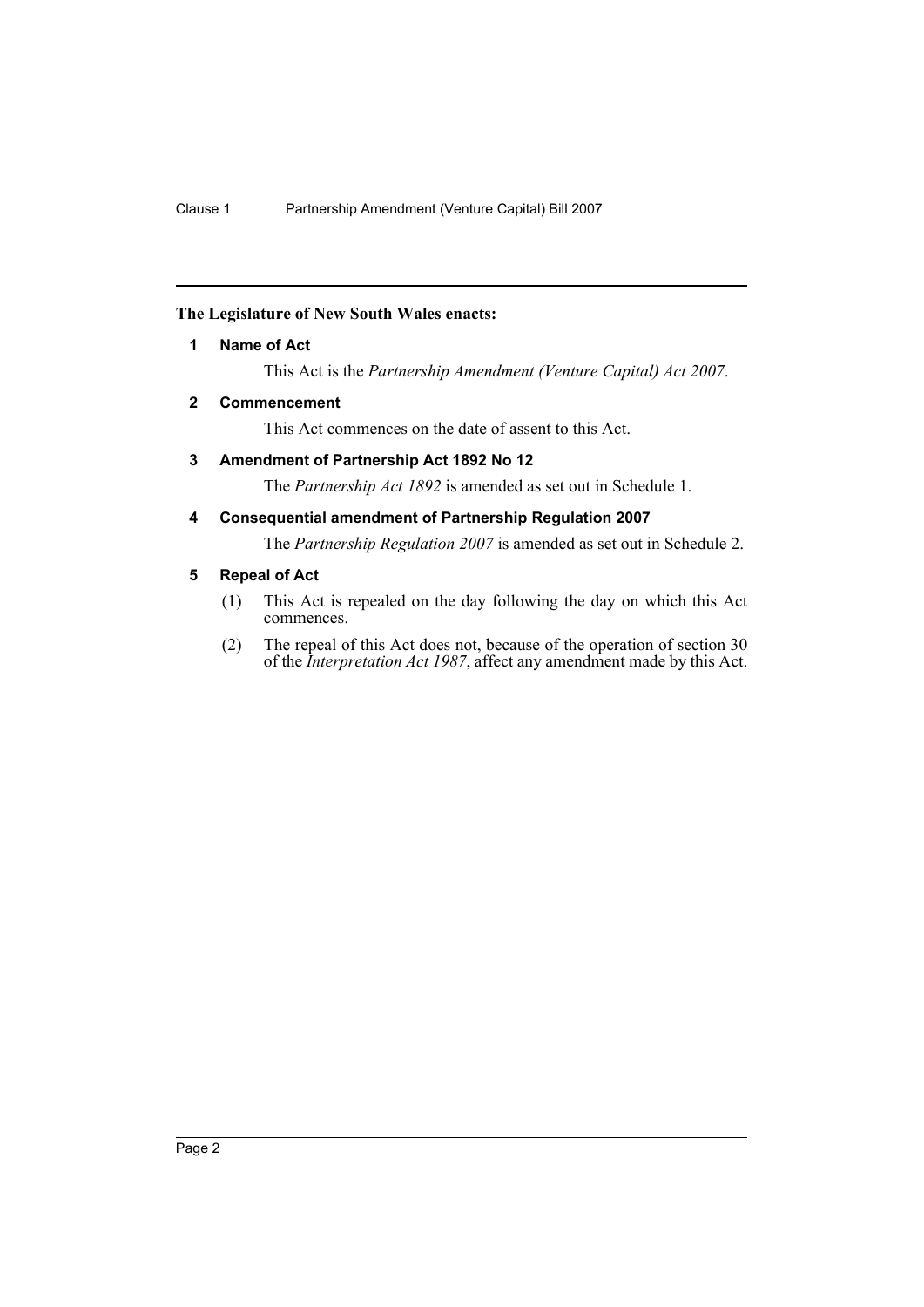### <span id="page-2-0"></span>**The Legislature of New South Wales enacts:**

#### **1 Name of Act**

This Act is the *Partnership Amendment (Venture Capital) Act 2007*.

### <span id="page-2-1"></span>**2 Commencement**

This Act commences on the date of assent to this Act.

#### <span id="page-2-2"></span>**3 Amendment of Partnership Act 1892 No 12**

The *Partnership Act 1892* is amended as set out in Schedule 1.

### <span id="page-2-3"></span>**4 Consequential amendment of Partnership Regulation 2007**

The *Partnership Regulation 2007* is amended as set out in Schedule 2.

#### <span id="page-2-4"></span>**5 Repeal of Act**

- (1) This Act is repealed on the day following the day on which this Act commences.
- (2) The repeal of this Act does not, because of the operation of section 30 of the *Interpretation Act 1987*, affect any amendment made by this Act.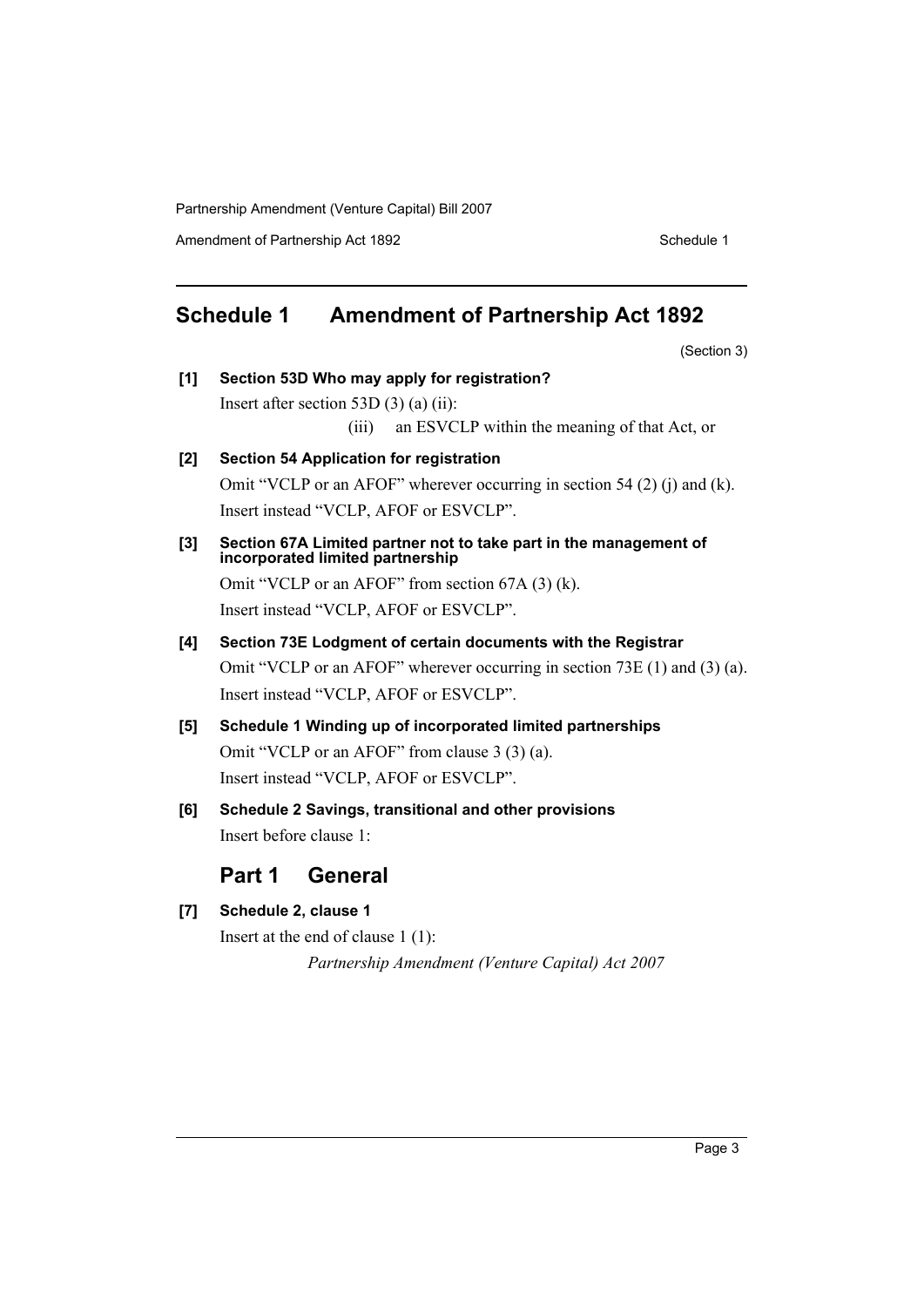Partnership Amendment (Venture Capital) Bill 2007

Amendment of Partnership Act 1892 Schedule 1

### <span id="page-3-0"></span>**Schedule 1 Amendment of Partnership Act 1892**

(Section 3)

**[1] Section 53D Who may apply for registration?** Insert after section 53D (3) (a) (ii): (iii) an ESVCLP within the meaning of that Act, or **[2] Section 54 Application for registration** Omit "VCLP or an AFOF" wherever occurring in section 54 (2) (j) and (k). Insert instead "VCLP, AFOF or ESVCLP". **[3] Section 67A Limited partner not to take part in the management of incorporated limited partnership** Omit "VCLP or an AFOF" from section 67A (3) (k). Insert instead "VCLP, AFOF or ESVCLP". **[4] Section 73E Lodgment of certain documents with the Registrar** Omit "VCLP or an AFOF" wherever occurring in section 73E (1) and (3) (a). Insert instead "VCLP, AFOF or ESVCLP". **[5] Schedule 1 Winding up of incorporated limited partnerships** Omit "VCLP or an AFOF" from clause 3 (3) (a).

Insert instead "VCLP, AFOF or ESVCLP".

**[6] Schedule 2 Savings, transitional and other provisions** Insert before clause 1:

### **Part 1 General**

**[7] Schedule 2, clause 1**

Insert at the end of clause 1 (1):

*Partnership Amendment (Venture Capital) Act 2007*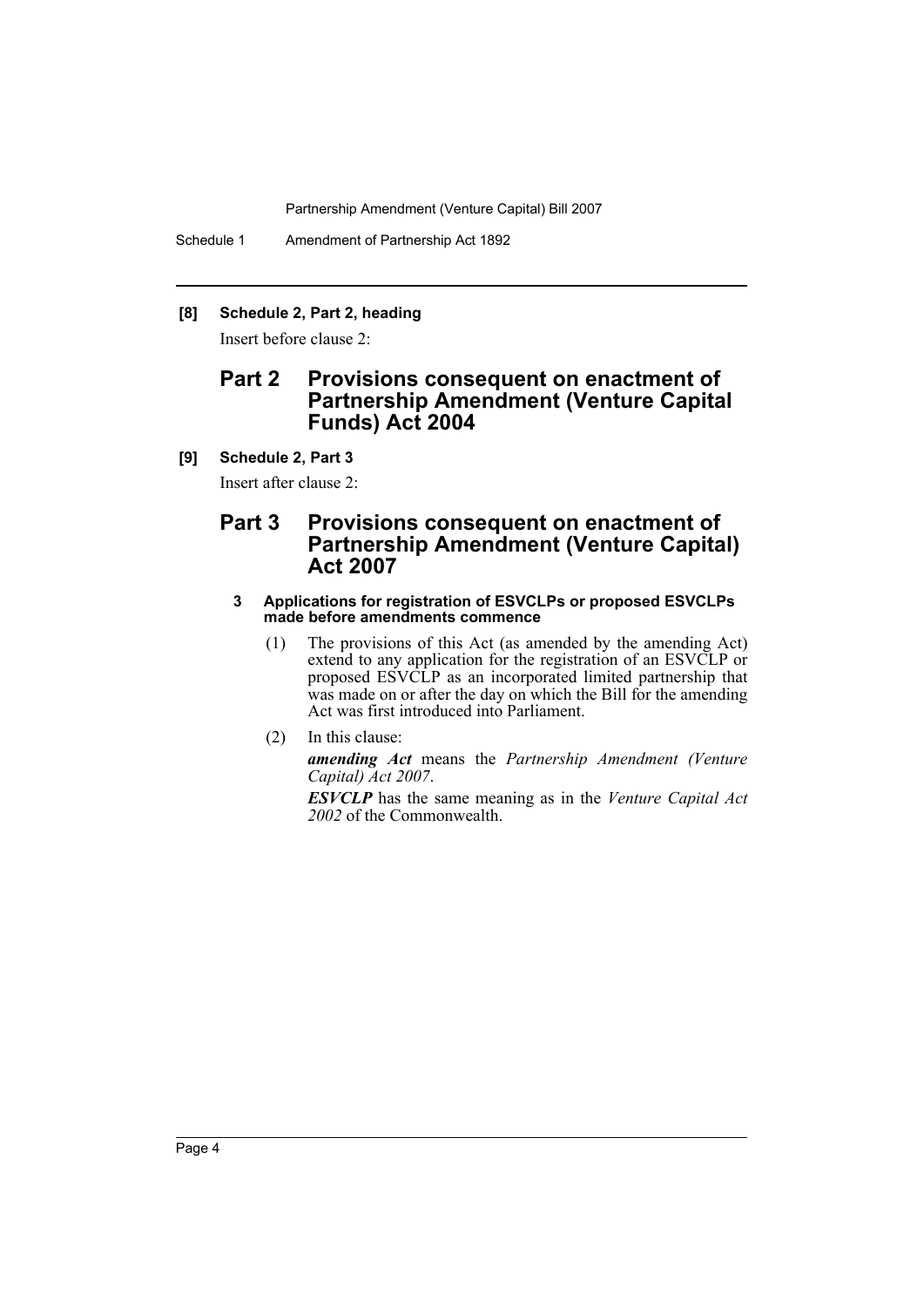Partnership Amendment (Venture Capital) Bill 2007

Schedule 1 Amendment of Partnership Act 1892

### **[8] Schedule 2, Part 2, heading**

Insert before clause 2:

### **Part 2 Provisions consequent on enactment of Partnership Amendment (Venture Capital Funds) Act 2004**

#### **[9] Schedule 2, Part 3**

Insert after clause 2:

### **Part 3 Provisions consequent on enactment of Partnership Amendment (Venture Capital) Act 2007**

#### **3 Applications for registration of ESVCLPs or proposed ESVCLPs made before amendments commence**

(1) The provisions of this Act (as amended by the amending Act) extend to any application for the registration of an ESVCLP or proposed ESVCLP as an incorporated limited partnership that was made on or after the day on which the Bill for the amending Act was first introduced into Parliament.

(2) In this clause:

*amending Act* means the *Partnership Amendment (Venture Capital) Act 2007*.

*ESVCLP* has the same meaning as in the *Venture Capital Act 2002* of the Commonwealth.